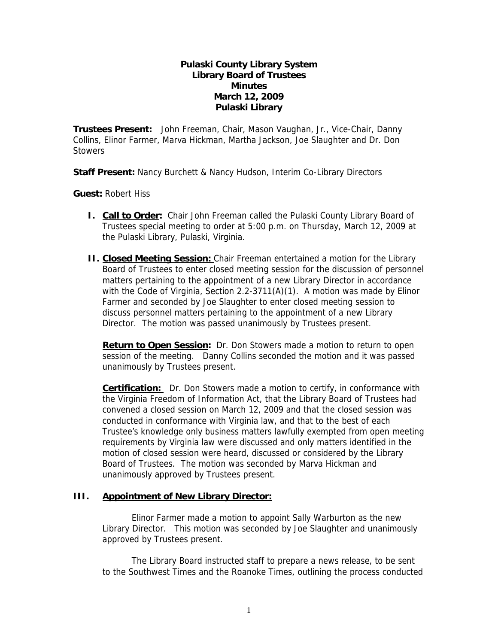## **Pulaski County Library System Library Board of Trustees Minutes March 12, 2009 Pulaski Library**

**Trustees Present:** John Freeman, Chair, Mason Vaughan, Jr., Vice-Chair, Danny Collins, Elinor Farmer, Marva Hickman, Martha Jackson, Joe Slaughter and Dr. Don **Stowers** 

**Staff Present:** Nancy Burchett & Nancy Hudson, Interim Co-Library Directors

**Guest:** Robert Hiss

- **I. Call to Order:** Chair John Freeman called the Pulaski County Library Board of Trustees special meeting to order at 5:00 p.m. on Thursday, March 12, 2009 at the Pulaski Library, Pulaski, Virginia.
- **II. Closed Meeting Session:** Chair Freeman entertained a motion for the Library Board of Trustees to enter closed meeting session for the discussion of personnel matters pertaining to the appointment of a new Library Director in accordance with the Code of Virginia, Section 2.2-3711(A)(1). A motion was made by Elinor Farmer and seconded by Joe Slaughter to enter closed meeting session to discuss personnel matters pertaining to the appointment of a new Library Director. The motion was passed unanimously by Trustees present.

**Return to Open Session:** Dr. Don Stowers made a motion to return to open session of the meeting. Danny Collins seconded the motion and it was passed unanimously by Trustees present.

**Certification:** Dr. Don Stowers made a motion to certify, in conformance with the Virginia Freedom of Information Act, that the Library Board of Trustees had convened a closed session on March 12, 2009 and that the closed session was conducted in conformance with Virginia law, and that to the best of each Trustee's knowledge only business matters lawfully exempted from open meeting requirements by Virginia law were discussed and only matters identified in the motion of closed session were heard, discussed or considered by the Library Board of Trustees. The motion was seconded by Marva Hickman and unanimously approved by Trustees present.

## **III. Appointment of New Library Director:**

Elinor Farmer made a motion to appoint Sally Warburton as the new Library Director. This motion was seconded by Joe Slaughter and unanimously approved by Trustees present.

The Library Board instructed staff to prepare a news release, to be sent to the Southwest Times and the Roanoke Times, outlining the process conducted